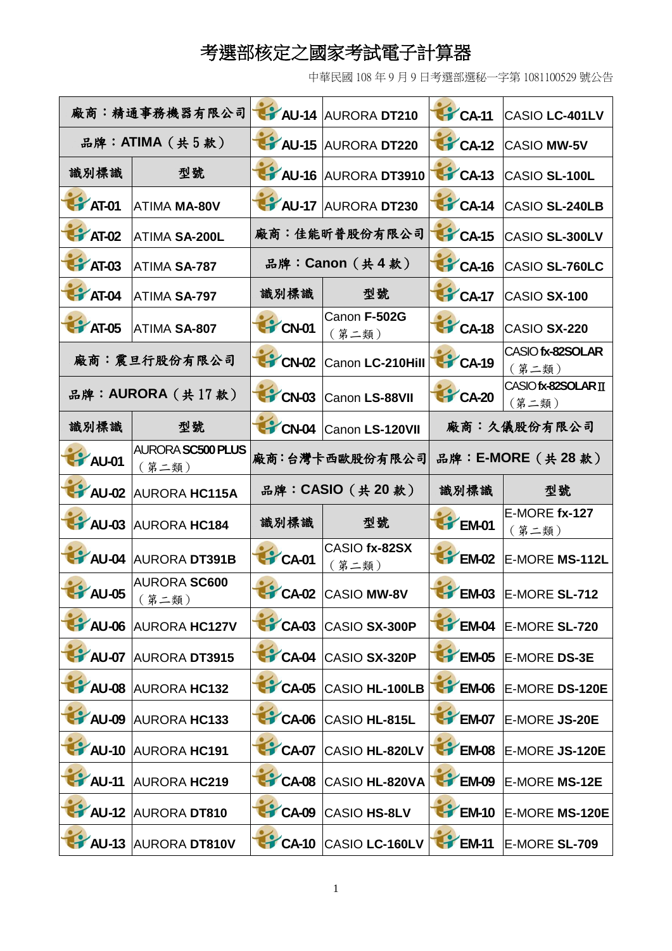## 考選部核定之國家考試電子計算器

中華民國 108 年 9 月 9 日考選部選秘一字第 1081100529 號公告

| 廠商:精通事務機器有限公司    |                                   |                                       | AU-14 AURORA DT210         | CA-11            | CASIO LC-401LV               |
|------------------|-----------------------------------|---------------------------------------|----------------------------|------------------|------------------------------|
| 品牌: ATIMA (共5款)  |                                   |                                       | AU-15 AURORA DT220         | CA-12            | <b>CASIO MW-5V</b>           |
| 識別標識             | 型號                                |                                       | AU-16 AURORA DT3910        | CA-13            | CASIO SL-100L                |
| <b>PAT-01</b>    | <b>ATIMA MA-80V</b>               |                                       | AU-17 AURORA DT230         | CA-14            | CASIO SL-240LB               |
| <b>FAT-02</b>    | <b>ATIMA SA-200L</b>              |                                       | 廠商:佳能昕普股份有限公司              | CA-15            | CASIO SL-300LV               |
| $AT-03$          | <b>ATIMA SA-787</b>               |                                       | 品牌: Canon (共4款)            | CA-16            | CASIO SL-760LC               |
| <b>FF</b> AT-04  | <b>ATIMA SA-797</b>               | 識別標識                                  | 型號                         | CA-17            | CASIO SX-100                 |
| <b>THE AT-05</b> | ATIMA SA-807                      | CN-01                                 | Canon F-502G<br>(第二類)      | CA-18            | CASIO SX-220                 |
|                  | 廠商:震旦行股份有限公司                      | <b>CN-02</b>                          | Canon LC-210Hill           | CA-19            | CASIO fx-82SOLAR<br>(第二類)    |
|                  | 品牌: AURORA (共17款)                 | <b>CN-03</b>                          | Canon LS-88VII             | CA-20            | CASIO fx-82SOLAR II<br>(第二類) |
| 識別標識             | 型號                                |                                       | CN-04 Canon LS-120VII      |                  | 廠商:久儀股份有限公司                  |
| <b>PAU-01</b>    | <b>AURORA SC500 PLUS</b><br>(第二類) | 品牌: E-MORE (共 28 款)<br>廠商:台灣卡西歐股份有限公司 |                            |                  |                              |
|                  |                                   |                                       |                            |                  |                              |
| AU-02            | <b>AURORA HC115A</b>              |                                       | 品牌: CASIO (共20款)           | 識別標識             | 型號                           |
| $4$ AU-03        | <b>AURORA HC184</b>               | 識別標識                                  | 型號                         | EM-01            | E-MORE fx-127<br>(第二類)       |
| AU-04            | <b>AURORA DT391B</b>              | CA-01                                 | CASIO fx-82SX<br>(第二類)     | EM-02            | E-MORE MS-112L               |
| AU-05            | <b>AURORA SC600</b>               |                                       | CA-02 CASIO MW-8V          | <b>EM-03</b>     | E-MORE SL-712                |
| $M$ AU-06        | (第二類)<br><b>AURORA HC127V</b>     |                                       | <b>CA-03 CASIO SX-300P</b> | EM-04            | E-MORE SL-720                |
| AU-07            | <b>AURORA DT3915</b>              |                                       | CA-04 CASIO SX-320P        | <b>THEM-05</b>   | E-MORE DS-3E                 |
| $M$ AU-08        | <b>AURORA HC132</b>               | CA-05                                 | <b>CASIO HL-100LB</b>      | <b>EM-06</b>     | E-MORE DS-120E               |
| <b>AU-09</b>     | <b>AURORA HC133</b>               |                                       | CA-06 CASIO HL-815L        | EM-07            | E-MORE JS-20E                |
| $4$ AU-10        | <b>AURORA HC191</b>               | CA-07                                 | CASIO HL-820LV             | EM-08            | E-MORE JS-120E               |
| <b>PAU-11</b>    | AURORA HC219                      | CA-08                                 | CASIO HL-820VA             | <b>THE EM-09</b> | E-MORE MS-12E                |
| $M$ AU-12        | <b>AURORA DT810</b>               | CA-09                                 | <b>CASIO HS-8LV</b>        | EM-10            | E-MORE MS-120E               |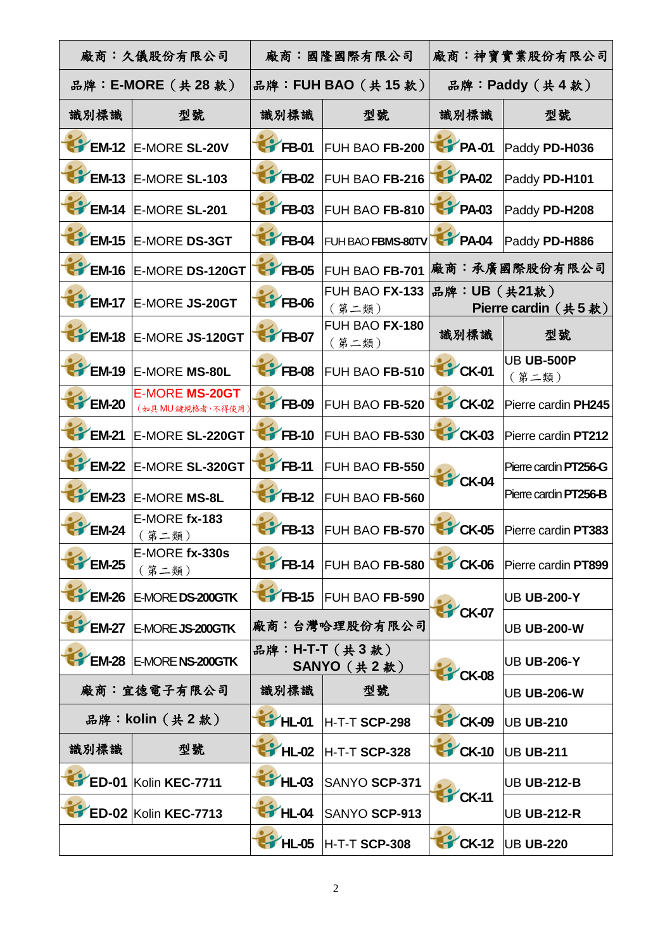| 廠商:久儀股份有限公司                 |                                         | 廠商:國隆國際有限公司                    |                                | 廠商:神寶實業股份有限公司    |                                   |
|-----------------------------|-----------------------------------------|--------------------------------|--------------------------------|------------------|-----------------------------------|
| 品牌: E-MORE (共 28 款)         |                                         | 品牌: FUH BAO (共15款)             |                                | 品牌: Paddy (共4款)  |                                   |
| 識別標識                        | 型號                                      | 識別標識                           | 型號                             | 識別標識             | 型號                                |
| $\mathsf{F}$ EM-12          | <b>E-MORE SL-20V</b>                    | FB-01                          | FUH BAO FB-200                 | <b>T</b> PA-01   | Paddy PD-H036                     |
| $\mathsf{F}$ EM-13          | E-MORE SL-103                           | FB-02                          | FUH BAO FB-216                 | PA-02            | Paddy PD-H101                     |
| $\rightarrow$ EM-14         | E-MORE SL-201                           | $\blacktriangleright$ FB-03    | FUH BAO FB-810                 | <b>T</b> PA-03   | Paddy PD-H208                     |
| $E = 15$                    | <b>E-MORE DS-3GT</b>                    | FFB-04                         | FUH BAO FBMS-80TV              | <b>THE PA-04</b> | Paddy PD-H886                     |
| $\blacktriangleright$ EM-16 | E-MORE DS-120GT                         | <b>FFB-05</b>                  | FUH BAO FB-701                 |                  | 廠商:承廣國際股份有限公司                     |
| EM-17                       | E-MORE JS-20GT                          | <b>FB-06</b>                   | <b>FUH BAO FX-133</b><br>(第二類) | 品牌:UB (共21款)     | Pierre cardin $(  \  \, \# 5$ 款 ) |
| EM-18                       | E-MORE JS-120GT                         | <b>THE FB-07</b>               | FUH BAO FX-180<br>(第二類)        | 識別標識             | 型號                                |
| EM-19                       | <b>E-MORE MS-80L</b>                    | FB-08                          | FUH BAO FB-510                 | <b>CK-01</b>     | <b>UB UB-500P</b><br>(第二類)        |
| EM-20                       | <b>E-MORE MS-20GT</b><br>(如具MU鍵規格者,不得使用 | FB-09                          | FUH BAO FB-520                 | CK-02            | Pierre cardin PH245               |
| <b>EM-21</b>                | E-MORE SL-220GT                         | $F = 10$                       | FUH BAO FB-530                 | CK-03            | Pierre cardin PT212               |
| EM-22                       | E-MORE SL-320GT                         | $\blacktriangleright$ FB-11    | FUH BAO FB-550                 |                  | Pierre cardin PT256-G             |
| <b>EM-23</b>                | <b>E-MORE MS-8L</b>                     | $\gamma$ FB-12                 | FUH BAO FB-560                 | CK-04            | Pierre cardin PT256-B             |
| EM-24                       | E-MORE fx-183<br>(第二類)                  | $F$ B-13                       | <b>FUH BAO FB-570</b>          | CK-05            | Pierre cardin PT383               |
| EM-25                       | E-MORE fx-330s<br>(第二類)                 | $\mathsf{F}$ FB-14             | FUH BAO FB-580                 | CK-06            | Pierre cardin PT899               |
| <b>EM-26</b>                | E-MORE DS-200GTK                        | $\sqrt{\text{FB-15}}$          | <b>FUH BAO FB-590</b>          |                  | <b>UB UB-200-Y</b>                |
| <b>EM-27</b>                | E-MORE JS-200GTK                        | 廠商:台灣哈理股份有限公司                  |                                | CK-07            | <b>UB UB-200-W</b>                |
| <b>EM-28</b>                | <b>E-MORE NS-200GTK</b>                 | 品牌: H-T-T (共3款)<br>SANYO (共2款) |                                | CK-08            | <b>UB UB-206-Y</b>                |
|                             | 廠商:宜德電子有限公司                             | 識別標識                           | 型號                             |                  | <b>UB UB-206-W</b>                |
| 品牌: kolin (共2款)             |                                         | <b>P</b> HL-01                 | H-T-T SCP-298                  | CK-09            | UB UB-210                         |
| 識別標識                        | 型號                                      | F HL-02                        | H-T-T SCP-328                  | CK-10            | UB UB-211                         |
| $E$ ED-01                   | Kolin KEC-7711                          | <b>P</b> HL-03                 | SANYO SCP-371                  | CK-11            | <b>UB UB-212-B</b>                |
|                             | <b>ED-02 Kolin KEC-7713</b>             | <b>HL-04</b>                   | SANYO SCP-913                  |                  | <b>UB UB-212-R</b>                |
|                             |                                         | <b>P</b> HL-05                 | <b>H-T-T SCP-308</b>           | CK-12            | <b>UB UB-220</b>                  |